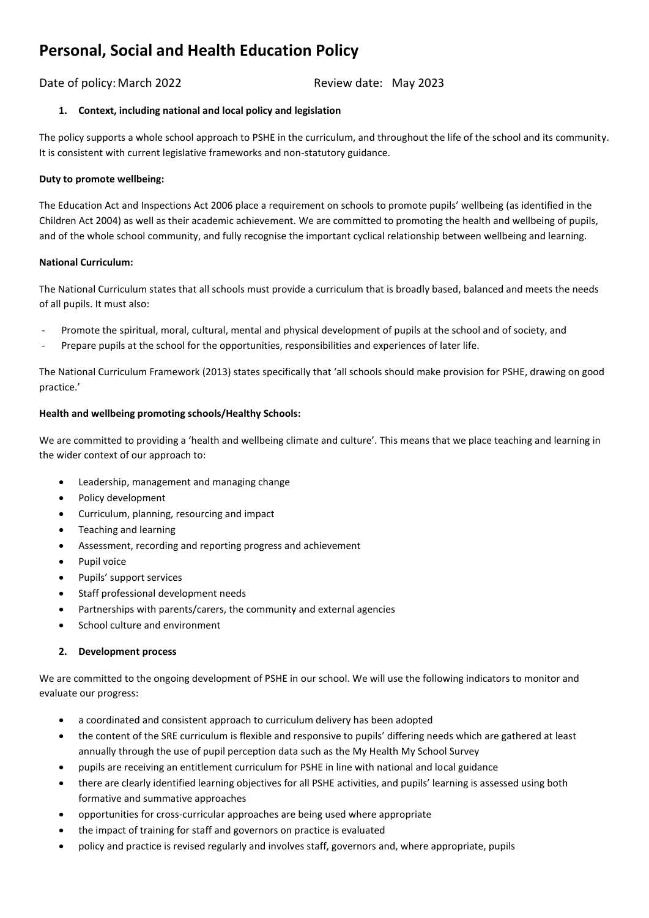# **Personal, Social and Health Education Policy**

# Date of policy: March 2022 Review date: May 2023

# **1. Context, including national and local policy and legislation**

The policy supports a whole school approach to PSHE in the curriculum, and throughout the life of the school and its community. It is consistent with current legislative frameworks and non-statutory guidance.

## **Duty to promote wellbeing:**

The Education Act and Inspections Act 2006 place a requirement on schools to promote pupils' wellbeing (as identified in the Children Act 2004) as well as their academic achievement. We are committed to promoting the health and wellbeing of pupils, and of the whole school community, and fully recognise the important cyclical relationship between wellbeing and learning.

## **National Curriculum:**

The National Curriculum states that all schools must provide a curriculum that is broadly based, balanced and meets the needs of all pupils. It must also:

- Promote the spiritual, moral, cultural, mental and physical development of pupils at the school and of society, and
- Prepare pupils at the school for the opportunities, responsibilities and experiences of later life.

The National Curriculum Framework (2013) states specifically that 'all schools should make provision for PSHE, drawing on good practice.'

# **Health and wellbeing promoting schools/Healthy Schools:**

We are committed to providing a 'health and wellbeing climate and culture'. This means that we place teaching and learning in the wider context of our approach to:

- Leadership, management and managing change
- Policy development
- Curriculum, planning, resourcing and impact
- Teaching and learning
- Assessment, recording and reporting progress and achievement
- Pupil voice
- Pupils' support services
- Staff professional development needs
- Partnerships with parents/carers, the community and external agencies
- School culture and environment

# **2. Development process**

We are committed to the ongoing development of PSHE in our school. We will use the following indicators to monitor and evaluate our progress:

- a coordinated and consistent approach to curriculum delivery has been adopted
- the content of the SRE curriculum is flexible and responsive to pupils' differing needs which are gathered at least annually through the use of pupil perception data such as the My Health My School Survey
- pupils are receiving an entitlement curriculum for PSHE in line with national and local guidance
- there are clearly identified learning objectives for all PSHE activities, and pupils' learning is assessed using both formative and summative approaches
- opportunities for cross-curricular approaches are being used where appropriate
- the impact of training for staff and governors on practice is evaluated
- policy and practice is revised regularly and involves staff, governors and, where appropriate, pupils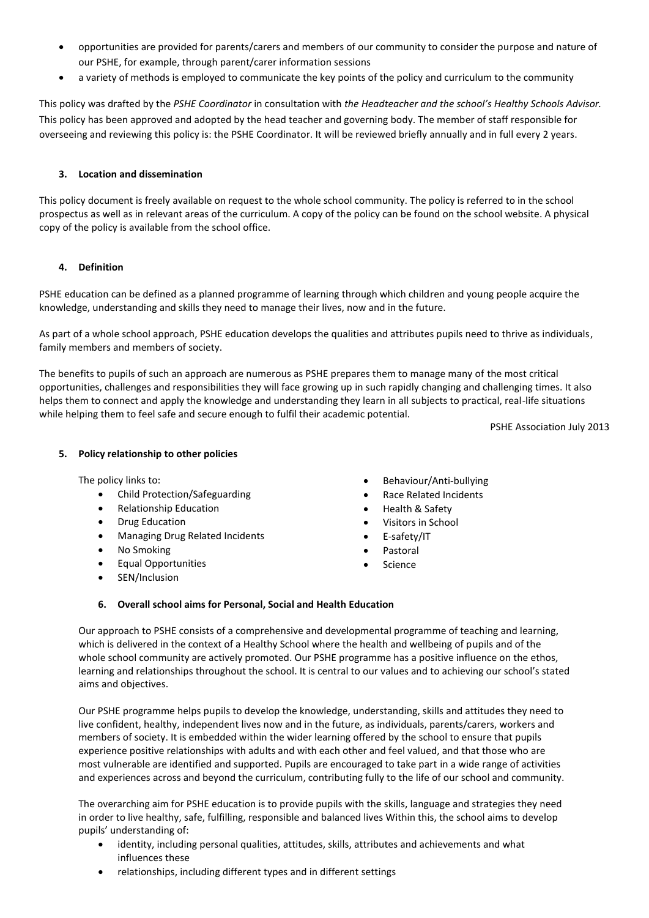- opportunities are provided for parents/carers and members of our community to consider the purpose and nature of our PSHE, for example, through parent/carer information sessions
- a variety of methods is employed to communicate the key points of the policy and curriculum to the community

This policy was drafted by the *PSHE Coordinator* in consultation with *the Headteacher and the school's Healthy Schools Advisor.*  This policy has been approved and adopted by the head teacher and governing body. The member of staff responsible for overseeing and reviewing this policy is: the PSHE Coordinator. It will be reviewed briefly annually and in full every 2 years.

## **3. Location and dissemination**

This policy document is freely available on request to the whole school community. The policy is referred to in the school prospectus as well as in relevant areas of the curriculum. A copy of the policy can be found on the school website. A physical copy of the policy is available from the school office.

## **4. Definition**

PSHE education can be defined as a planned programme of learning through which children and young people acquire the knowledge, understanding and skills they need to manage their lives, now and in the future.

As part of a whole school approach, PSHE education develops the qualities and attributes pupils need to thrive as individuals, family members and members of society.

The benefits to pupils of such an approach are numerous as PSHE prepares them to manage many of [the most critical](http://www.pshe-association.org.uk/resources_search_details.aspx?ResourceId=475)  [opportunities, challenges and responsibilities they will face growing up](http://www.pshe-association.org.uk/resources_search_details.aspx?ResourceId=475) in such rapidly changing and challenging times. It also helps them to connect and apply the knowledge and understanding they learn in all subjects to practical, real-life situations while helping them to feel safe and secure enough to fulfil their academic potential.

PSHE Association July 2013

## **5. Policy relationship to other policies**

The policy links to:

- Child Protection/Safeguarding
- Relationship Education
- Drug Education
- Managing Drug Related Incidents
- No Smoking
- Equal Opportunities
- SEN/Inclusion
- Behaviour/Anti-bullying
- Race Related Incidents
- Health & Safety
- Visitors in School
- E-safety/IT
- **Pastoral**
- Science

# **6. Overall school aims for Personal, Social and Health Education**

Our approach to PSHE consists of a comprehensive and developmental programme of teaching and learning, which is delivered in the context of a Healthy School where the health and wellbeing of pupils and of the whole school community are actively promoted. Our PSHE programme has a positive influence on the ethos, learning and relationships throughout the school. It is central to our values and to achieving our school's stated aims and objectives.

Our PSHE programme helps pupils to develop the knowledge, understanding, skills and attitudes they need to live confident, healthy, independent lives now and in the future, as individuals, parents/carers, workers and members of society. It is embedded within the wider learning offered by the school to ensure that pupils experience positive relationships with adults and with each other and feel valued, and that those who are most vulnerable are identified and supported. Pupils are encouraged to take part in a wide range of activities and experiences across and beyond the curriculum, contributing fully to the life of our school and community.

The overarching aim for PSHE education is to provide pupils with the skills, language and strategies they need in order to live healthy, safe, fulfilling, responsible and balanced lives Within this, the school aims to develop pupils' understanding of:

- identity, including personal qualities, attitudes, skills, attributes and achievements and what influences these
- relationships, including different types and in different settings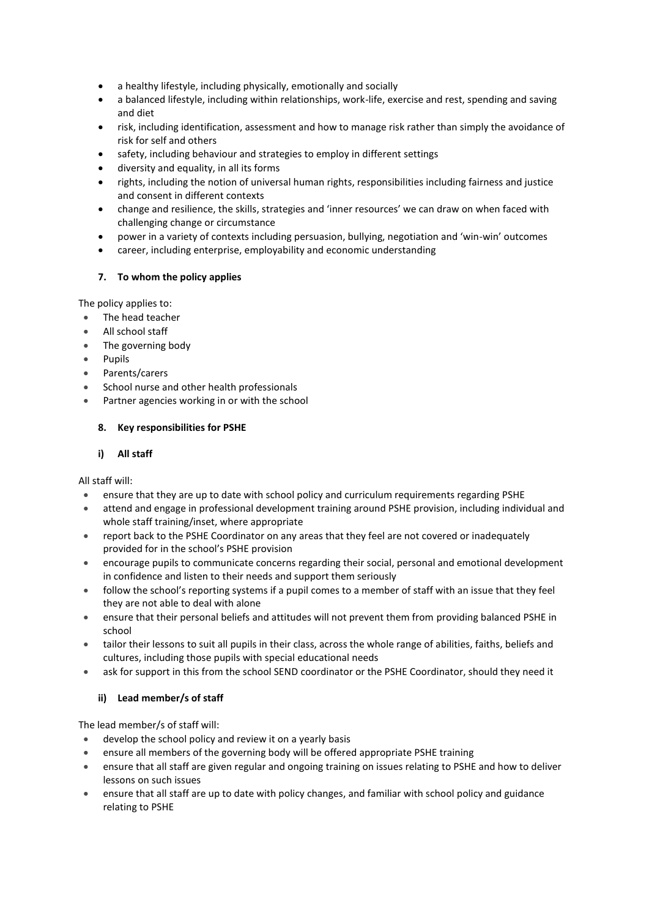- a healthy lifestyle, including physically, emotionally and socially
- a balanced lifestyle, including within relationships, work-life, exercise and rest, spending and saving and diet
- risk, including identification, assessment and how to manage risk rather than simply the avoidance of risk for self and others
- safety, including behaviour and strategies to employ in different settings
- diversity and equality, in all its forms
- rights, including the notion of universal human rights, responsibilities including fairness and justice and consent in different contexts
- change and resilience, the skills, strategies and 'inner resources' we can draw on when faced with challenging change or circumstance
- power in a variety of contexts including persuasion, bullying, negotiation and 'win-win' outcomes
- career, including enterprise, employability and economic understanding

## **7. To whom the policy applies**

The policy applies to:

- The head teacher
- All school staff
- The governing body
- Pupils
- Parents/carers
- School nurse and other health professionals
- Partner agencies working in or with the school

## **8. Key responsibilities for PSHE**

# **i) All staff**

All staff will:

- ensure that they are up to date with school policy and curriculum requirements regarding PSHE
- attend and engage in professional development training around PSHE provision, including individual and whole staff training/inset, where appropriate
- report back to the PSHE Coordinator on any areas that they feel are not covered or inadequately provided for in the school's PSHE provision
- encourage pupils to communicate concerns regarding their social, personal and emotional development in confidence and listen to their needs and support them seriously
- follow the school's reporting systems if a pupil comes to a member of staff with an issue that they feel they are not able to deal with alone
- ensure that their personal beliefs and attitudes will not prevent them from providing balanced PSHE in school
- tailor their lessons to suit all pupils in their class, across the whole range of abilities, faiths, beliefs and cultures, including those pupils with special educational needs
- ask for support in this from the school SEND coordinator or the PSHE Coordinator, should they need it

# **ii) Lead member/s of staff**

The lead member/s of staff will:

- develop the school policy and review it on a yearly basis
- ensure all members of the governing body will be offered appropriate PSHE training
- ensure that all staff are given regular and ongoing training on issues relating to PSHE and how to deliver lessons on such issues
- ensure that all staff are up to date with policy changes, and familiar with school policy and guidance relating to PSHE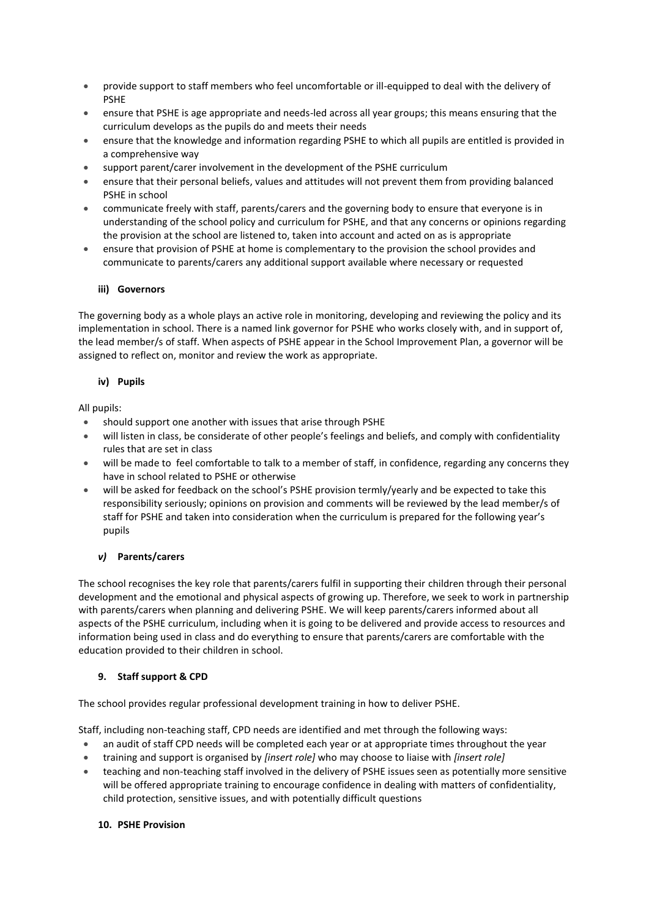- provide support to staff members who feel uncomfortable or ill-equipped to deal with the delivery of PSHE
- ensure that PSHE is age appropriate and needs-led across all year groups; this means ensuring that the curriculum develops as the pupils do and meets their needs
- ensure that the knowledge and information regarding PSHE to which all pupils are entitled is provided in a comprehensive way
- support parent/carer involvement in the development of the PSHE curriculum
- ensure that their personal beliefs, values and attitudes will not prevent them from providing balanced PSHE in school
- communicate freely with staff, parents/carers and the governing body to ensure that everyone is in understanding of the school policy and curriculum for PSHE, and that any concerns or opinions regarding the provision at the school are listened to, taken into account and acted on as is appropriate
- ensure that provision of PSHE at home is complementary to the provision the school provides and communicate to parents/carers any additional support available where necessary or requested

## **iii) Governors**

The governing body as a whole plays an active role in monitoring, developing and reviewing the policy and its implementation in school. There is a named link governor for PSHE who works closely with, and in support of, the lead member/s of staff. When aspects of PSHE appear in the School Improvement Plan, a governor will be assigned to reflect on, monitor and review the work as appropriate.

## **iv) Pupils**

All pupils:

- should support one another with issues that arise through PSHE
- will listen in class, be considerate of other people's feelings and beliefs, and comply with confidentiality rules that are set in class
- will be made to feel comfortable to talk to a member of staff, in confidence, regarding any concerns they have in school related to PSHE or otherwise
- will be asked for feedback on the school's PSHE provision termly/yearly and be expected to take this responsibility seriously; opinions on provision and comments will be reviewed by the lead member/s of staff for PSHE and taken into consideration when the curriculum is prepared for the following year's pupils

# *v)* **Parents/carers**

The school recognises the key role that parents/carers fulfil in supporting their children through their personal development and the emotional and physical aspects of growing up. Therefore, we seek to work in partnership with parents/carers when planning and delivering PSHE. We will keep parents/carers informed about all aspects of the PSHE curriculum, including when it is going to be delivered and provide access to resources and information being used in class and do everything to ensure that parents/carers are comfortable with the education provided to their children in school.

# **9. Staff support & CPD**

The school provides regular professional development training in how to deliver PSHE.

Staff, including non-teaching staff, CPD needs are identified and met through the following ways:

- an audit of staff CPD needs will be completed each year or at appropriate times throughout the year
- training and support is organised by *[insert role]* who may choose to liaise with *[insert role]*
- teaching and non-teaching staff involved in the delivery of PSHE issues seen as potentially more sensitive will be offered appropriate training to encourage confidence in dealing with matters of confidentiality, child protection, sensitive issues, and with potentially difficult questions

## **10. PSHE Provision**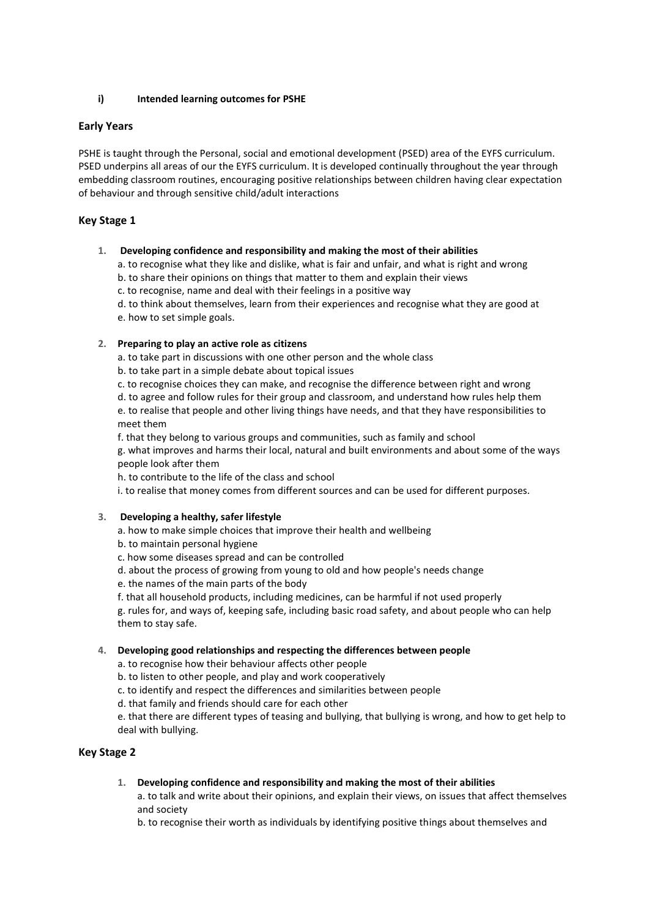## **i) Intended learning outcomes for PSHE**

# **Early Years**

PSHE is taught through the Personal, social and emotional development (PSED) area of the EYFS curriculum. PSED underpins all areas of our the EYFS curriculum. It is developed continually throughout the year through embedding classroom routines, encouraging positive relationships between children having clear expectation of behaviour and through sensitive child/adult interactions

## **Key Stage 1**

## **1. Developing confidence and responsibility and making the most of their abilities**

a. to recognise what they like and dislike, what is fair and unfair, and what is right and wrong

b. to share their opinions on things that matter to them and explain their views

c. to recognise, name and deal with their feelings in a positive way

d. to think about themselves, learn from their experiences and recognise what they are good at

e. how to set simple goals.

## **2. Preparing to play an active role as citizens**

a. to take part in discussions with one other person and the whole class

b. to take part in a simple debate about topical issues

c. to recognise choices they can make, and recognise the difference between right and wrong

d. to agree and follow rules for their group and classroom, and understand how rules help them e. to realise that people and other living things have needs, and that they have responsibilities to meet them

f. that they belong to various groups and communities, such as family and school

g. what improves and harms their local, natural and built environments and about some of the ways people look after them

h. to contribute to the life of the class and school

i. to realise that money comes from different sources and can be used for different purposes.

## **3. Developing a healthy, safer lifestyle**

a. how to make simple choices that improve their health and wellbeing

b. to maintain personal hygiene

- c. how some diseases spread and can be controlled
- d. about the process of growing from young to old and how people's needs change
- e. the names of the main parts of the body

f. that all household products, including medicines, can be harmful if not used properly g. rules for, and ways of, keeping safe, including basic road safety, and about people who can help them to stay safe.

## **4. Developing good relationships and respecting the differences between people**

a. to recognise how their behaviour affects other people

b. to listen to other people, and play and work cooperatively

c. to identify and respect the differences and similarities between people

d. that family and friends should care for each other

e. that there are different types of teasing and bullying, that bullying is wrong, and how to get help to deal with bullying.

## **Key Stage 2**

## **1. Developing confidence and responsibility and making the most of their abilities**

a. to talk and write about their opinions, and explain their views, on issues that affect themselves and society

b. to recognise their worth as individuals by identifying positive things about themselves and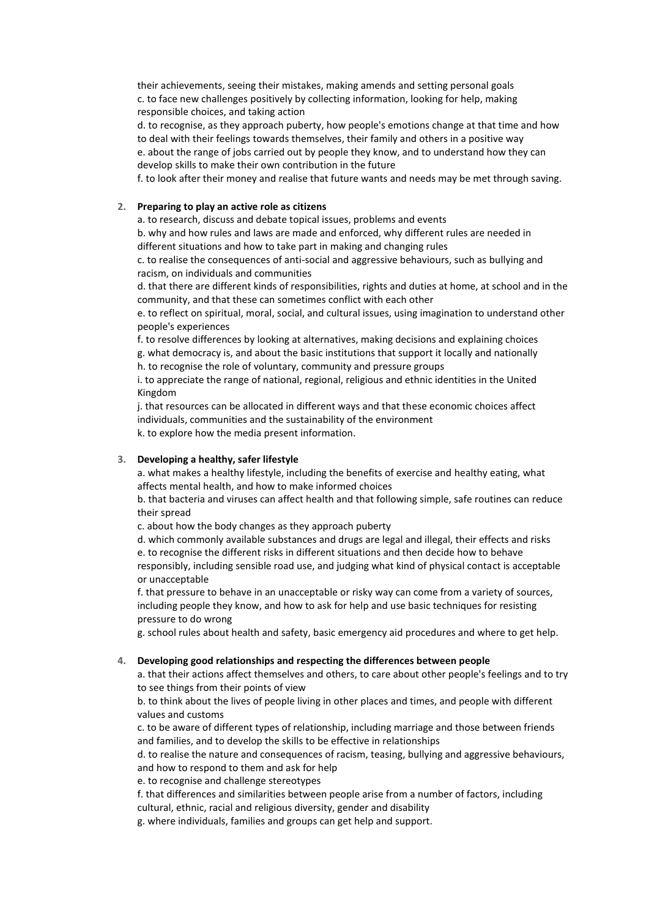their achievements, seeing their mistakes, making amends and setting personal goals c. to face new challenges positively by collecting information, looking for help, making responsible choices, and taking action

d. to recognise, as they approach puberty, how people's emotions change at that time and how to deal with their feelings towards themselves, their family and others in a positive way e. about the range of jobs carried out by people they know, and to understand how they can develop skills to make their own contribution in the future

f. to look after their money and realise that future wants and needs may be met through saving.

#### **2. Preparing to play an active role as citizens**

a. to research, discuss and debate topical issues, problems and events

b. why and how rules and laws are made and enforced, why different rules are needed in different situations and how to take part in making and changing rules

c. to realise the consequences of anti-social and aggressive behaviours, such as bullying and racism, on individuals and communities

d. that there are different kinds of responsibilities, rights and duties at home, at school and in the community, and that these can sometimes conflict with each other

e. to reflect on spiritual, moral, social, and cultural issues, using imagination to understand other people's experiences

f. to resolve differences by looking at alternatives, making decisions and explaining choices g. what democracy is, and about the basic institutions that support it locally and nationally h. to recognise the role of voluntary, community and pressure groups

i. to appreciate the range of national, regional, religious and ethnic identities in the United Kingdom

j. that resources can be allocated in different ways and that these economic choices affect individuals, communities and the sustainability of the environment k. to explore how the media present information.

#### **3. Developing a healthy, safer lifestyle**

a. what makes a healthy lifestyle, including the benefits of exercise and healthy eating, what affects mental health, and how to make informed choices

b. that bacteria and viruses can affect health and that following simple, safe routines can reduce their spread

c. about how the body changes as they approach puberty

d. which commonly available substances and drugs are legal and illegal, their effects and risks e. to recognise the different risks in different situations and then decide how to behave responsibly, including sensible road use, and judging what kind of physical contact is acceptable or unacceptable

f. that pressure to behave in an unacceptable or risky way can come from a variety of sources, including people they know, and how to ask for help and use basic techniques for resisting pressure to do wrong

g. school rules about health and safety, basic emergency aid procedures and where to get help.

#### **4. Developing good relationships and respecting the differences between people**

a. that their actions affect themselves and others, to care about other people's feelings and to try to see things from their points of view

b. to think about the lives of people living in other places and times, and people with different values and customs

c. to be aware of different types of relationship, including marriage and those between friends and families, and to develop the skills to be effective in relationships

d. to realise the nature and consequences of racism, teasing, bullying and aggressive behaviours, and how to respond to them and ask for help

e. to recognise and challenge stereotypes

f. that differences and similarities between people arise from a number of factors, including cultural, ethnic, racial and religious diversity, gender and disability

g. where individuals, families and groups can get help and support.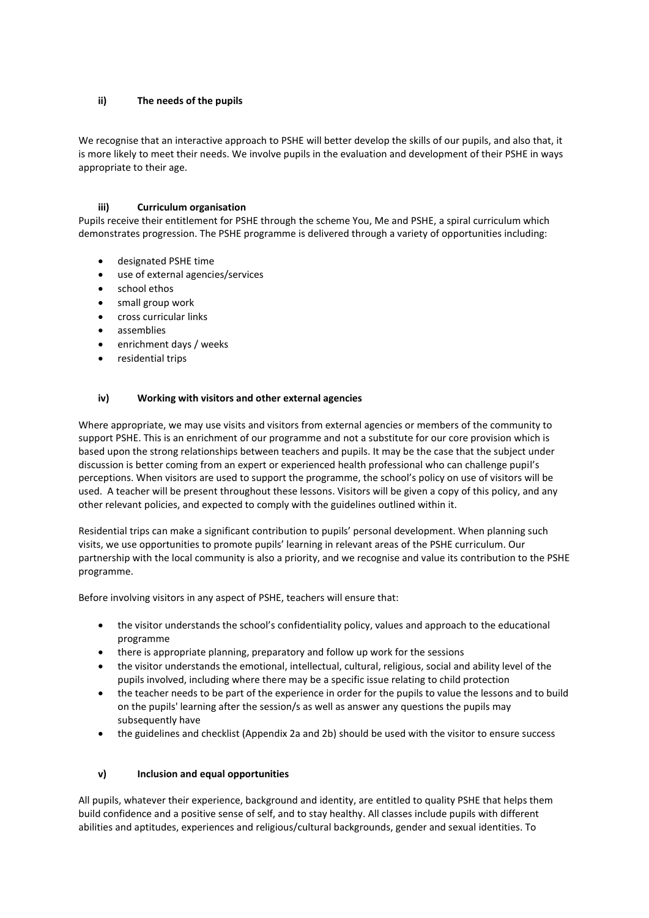## **ii) The needs of the pupils**

We recognise that an interactive approach to PSHE will better develop the skills of our pupils, and also that, it is more likely to meet their needs. We involve pupils in the evaluation and development of their PSHE in ways appropriate to their age.

## **iii) Curriculum organisation**

Pupils receive their entitlement for PSHE through the scheme You, Me and PSHE, a spiral curriculum which demonstrates progression. The PSHE programme is delivered through a variety of opportunities including:

- designated PSHE time
- use of external agencies/services
- school ethos
- small group work
- cross curricular links
- assemblies
- enrichment days / weeks
- residential trips

## **iv) Working with visitors and other external agencies**

Where appropriate, we may use visits and visitors from external agencies or members of the community to support PSHE. This is an enrichment of our programme and not a substitute for our core provision which is based upon the strong relationships between teachers and pupils. It may be the case that the subject under discussion is better coming from an expert or experienced health professional who can challenge pupil's perceptions. When visitors are used to support the programme, the school's policy on use of visitors will be used. A teacher will be present throughout these lessons. Visitors will be given a copy of this policy, and any other relevant policies, and expected to comply with the guidelines outlined within it.

Residential trips can make a significant contribution to pupils' personal development. When planning such visits, we use opportunities to promote pupils' learning in relevant areas of the PSHE curriculum. Our partnership with the local community is also a priority, and we recognise and value its contribution to the PSHE programme.

Before involving visitors in any aspect of PSHE, teachers will ensure that:

- the visitor understands the school's confidentiality policy, values and approach to the educational programme
- there is appropriate planning, preparatory and follow up work for the sessions
- the visitor understands the emotional, intellectual, cultural, religious, social and ability level of the pupils involved, including where there may be a specific issue relating to child protection
- the teacher needs to be part of the experience in order for the pupils to value the lessons and to build on the pupils' learning after the session/s as well as answer any questions the pupils may subsequently have
- the guidelines and checklist (Appendix 2a and 2b) should be used with the visitor to ensure success

## **v) Inclusion and equal opportunities**

All pupils, whatever their experience, background and identity, are entitled to quality PSHE that helps them build confidence and a positive sense of self, and to stay healthy. All classes include pupils with different abilities and aptitudes, experiences and religious/cultural backgrounds, gender and sexual identities. To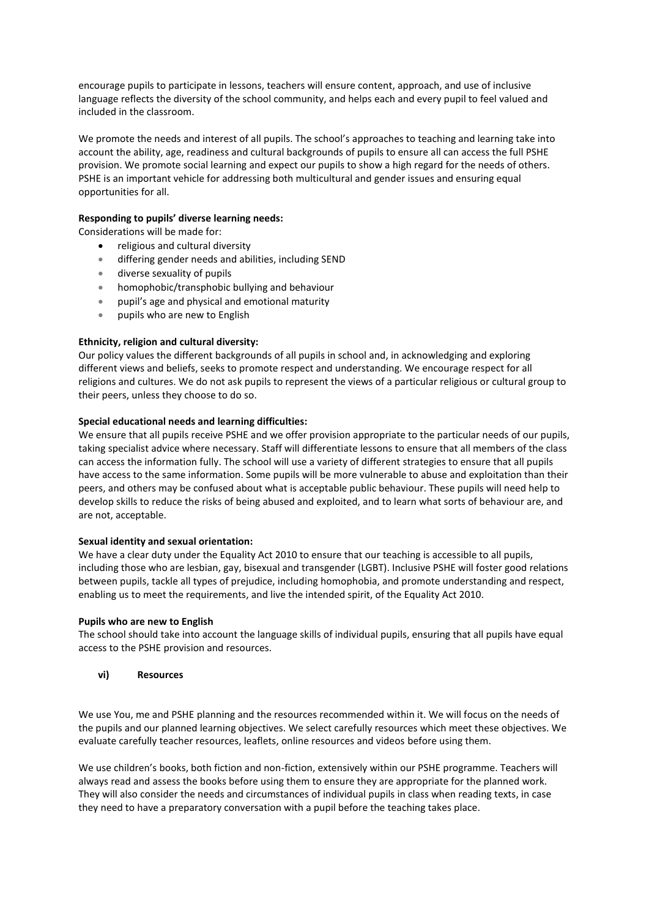encourage pupils to participate in lessons, teachers will ensure content, approach, and use of inclusive language reflects the diversity of the school community, and helps each and every pupil to feel valued and included in the classroom.

We promote the needs and interest of all pupils. The school's approaches to teaching and learning take into account the ability, age, readiness and cultural backgrounds of pupils to ensure all can access the full PSHE provision. We promote social learning and expect our pupils to show a high regard for the needs of others. PSHE is an important vehicle for addressing both multicultural and gender issues and ensuring equal opportunities for all.

## **Responding to pupils' diverse learning needs:**

Considerations will be made for:

- religious and cultural diversity
- differing gender needs and abilities, including SEND
- diverse sexuality of pupils
- homophobic/transphobic bullying and behaviour
- pupil's age and physical and emotional maturity
- pupils who are new to English

## **Ethnicity, religion and cultural diversity:**

Our policy values the different backgrounds of all pupils in school and, in acknowledging and exploring different views and beliefs, seeks to promote respect and understanding. We encourage respect for all religions and cultures. We do not ask pupils to represent the views of a particular religious or cultural group to their peers, unless they choose to do so.

#### **Special educational needs and learning difficulties:**

We ensure that all pupils receive PSHE and we offer provision appropriate to the particular needs of our pupils, taking specialist advice where necessary. Staff will differentiate lessons to ensure that all members of the class can access the information fully. The school will use a variety of different strategies to ensure that all pupils have access to the same information. Some pupils will be more vulnerable to abuse and exploitation than their peers, and others may be confused about what is acceptable public behaviour. These pupils will need help to develop skills to reduce the risks of being abused and exploited, and to learn what sorts of behaviour are, and are not, acceptable.

#### **Sexual identity and sexual orientation:**

We have a clear duty under the Equality Act 2010 to ensure that our teaching is accessible to all pupils, including those who are lesbian, gay, bisexual and transgender (LGBT). Inclusive PSHE will foster good relations between pupils, tackle all types of prejudice, including homophobia, and promote understanding and respect, enabling us to meet the requirements, and live the intended spirit, of the Equality Act 2010.

#### **Pupils who are new to English**

The school should take into account the language skills of individual pupils, ensuring that all pupils have equal access to the PSHE provision and resources.

#### **vi) Resources**

We use You, me and PSHE planning and the resources recommended within it. We will focus on the needs of the pupils and our planned learning objectives. We select carefully resources which meet these objectives. We evaluate carefully teacher resources, leaflets, online resources and videos before using them.

We use children's books, both fiction and non-fiction, extensively within our PSHE programme. Teachers will always read and assess the books before using them to ensure they are appropriate for the planned work. They will also consider the needs and circumstances of individual pupils in class when reading texts, in case they need to have a preparatory conversation with a pupil before the teaching takes place.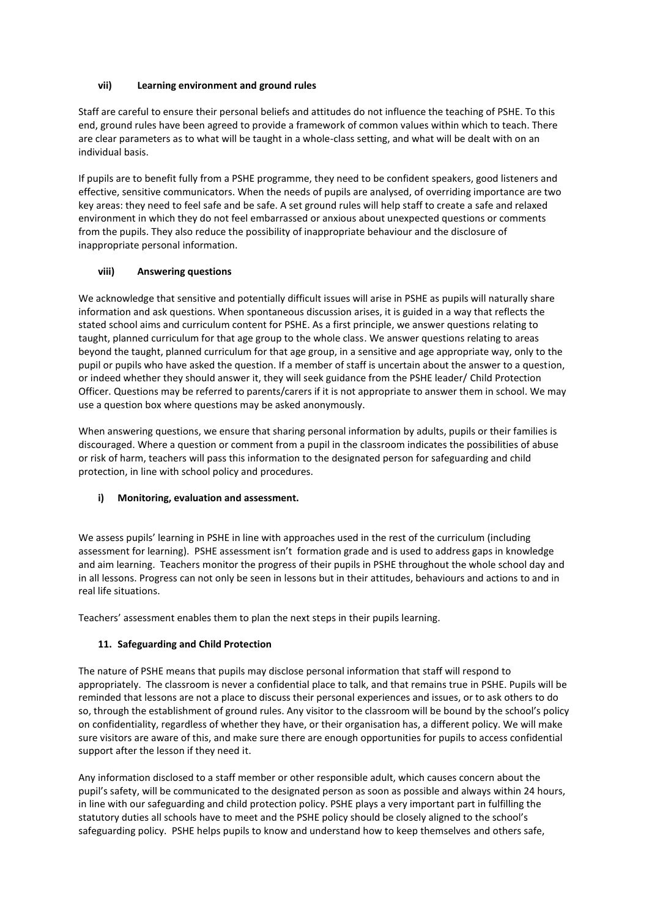# **vii) Learning environment and ground rules**

Staff are careful to ensure their personal beliefs and attitudes do not influence the teaching of PSHE. To this end, ground rules have been agreed to provide a framework of common values within which to teach. There are clear parameters as to what will be taught in a whole-class setting, and what will be dealt with on an individual basis.

If pupils are to benefit fully from a PSHE programme, they need to be confident speakers, good listeners and effective, sensitive communicators. When the needs of pupils are analysed, of overriding importance are two key areas: they need to feel safe and be safe. A set ground rules will help staff to create a safe and relaxed environment in which they do not feel embarrassed or anxious about unexpected questions or comments from the pupils. They also reduce the possibility of inappropriate behaviour and the disclosure of inappropriate personal information.

## **viii) Answering questions**

We acknowledge that sensitive and potentially difficult issues will arise in PSHE as pupils will naturally share information and ask questions. When spontaneous discussion arises, it is guided in a way that reflects the stated school aims and curriculum content for PSHE. As a first principle, we answer questions relating to taught, planned curriculum for that age group to the whole class. We answer questions relating to areas beyond the taught, planned curriculum for that age group, in a sensitive and age appropriate way, only to the pupil or pupils who have asked the question. If a member of staff is uncertain about the answer to a question, or indeed whether they should answer it, they will seek guidance from the PSHE leader/ Child Protection Officer. Questions may be referred to parents/carers if it is not appropriate to answer them in school. We may use a question box where questions may be asked anonymously.

When answering questions, we ensure that sharing personal information by adults, pupils or their families is discouraged. Where a question or comment from a pupil in the classroom indicates the possibilities of abuse or risk of harm, teachers will pass this information to the designated person for safeguarding and child protection, in line with school policy and procedures.

# **i) Monitoring, evaluation and assessment.**

We assess pupils' learning in PSHE in line with approaches used in the rest of the curriculum (including assessment for learning). PSHE assessment isn't formation grade and is used to address gaps in knowledge and aim learning. Teachers monitor the progress of their pupils in PSHE throughout the whole school day and in all lessons. Progress can not only be seen in lessons but in their attitudes, behaviours and actions to and in real life situations.

Teachers' assessment enables them to plan the next steps in their pupils learning.

# **11. Safeguarding and Child Protection**

The nature of PSHE means that pupils may disclose personal information that staff will respond to appropriately. The classroom is never a confidential place to talk, and that remains true in PSHE. Pupils will be reminded that lessons are not a place to discuss their personal experiences and issues, or to ask others to do so, through the establishment of ground rules. Any visitor to the classroom will be bound by the school's policy on confidentiality, regardless of whether they have, or their organisation has, a different policy. We will make sure visitors are aware of this, and make sure there are enough opportunities for pupils to access confidential support after the lesson if they need it.

Any information disclosed to a staff member or other responsible adult, which causes concern about the pupil's safety, will be communicated to the designated person as soon as possible and always within 24 hours, in line with our safeguarding and child protection policy. PSHE plays a very important part in fulfilling the statutory duties all schools have to meet and the PSHE policy should be closely aligned to the school's safeguarding policy. PSHE helps pupils to know and understand how to keep themselves and others safe,